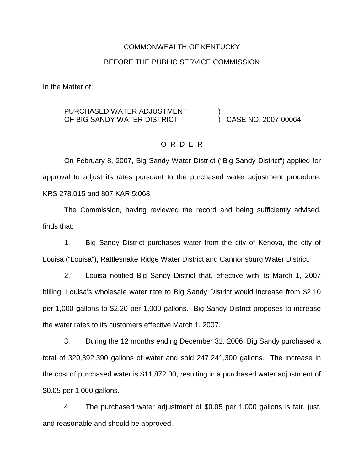## COMMONWEALTH OF KENTUCKY

#### BEFORE THE PUBLIC SERVICE COMMISSION

In the Matter of:

#### PURCHASED WATER ADJUSTMENT OF BIG SANDY WATER DISTRICT ) ) CASE NO. 2007-00064

## O R D E R

On February 8, 2007, Big Sandy Water District ("Big Sandy District") applied for approval to adjust its rates pursuant to the purchased water adjustment procedure. KRS 278.015 and 807 KAR 5:068.

The Commission, having reviewed the record and being sufficiently advised, finds that:

1. Big Sandy District purchases water from the city of Kenova, the city of Louisa ("Louisa"), Rattlesnake Ridge Water District and Cannonsburg Water District.

2. Louisa notified Big Sandy District that, effective with its March 1, 2007 billing, Louisa's wholesale water rate to Big Sandy District would increase from \$2.10 per 1,000 gallons to \$2.20 per 1,000 gallons. Big Sandy District proposes to increase the water rates to its customers effective March 1, 2007.

3. During the 12 months ending December 31, 2006, Big Sandy purchased a total of 320,392,390 gallons of water and sold 247,241,300 gallons. The increase in the cost of purchased water is \$11,872.00, resulting in a purchased water adjustment of \$0.05 per 1,000 gallons.

4. The purchased water adjustment of \$0.05 per 1,000 gallons is fair, just, and reasonable and should be approved.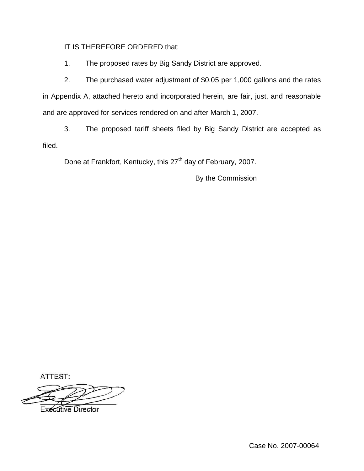IT IS THEREFORE ORDERED that:

1. The proposed rates by Big Sandy District are approved.

2. The purchased water adjustment of \$0.05 per 1,000 gallons and the rates in Appendix A, attached hereto and incorporated herein, are fair, just, and reasonable and are approved for services rendered on and after March 1, 2007.

3. The proposed tariff sheets filed by Big Sandy District are accepted as filed.

Done at Frankfort, Kentucky, this 27<sup>th</sup> day of February, 2007.

By the Commission

ATTEST:

**Executive Director** 

Case No. 2007-00064